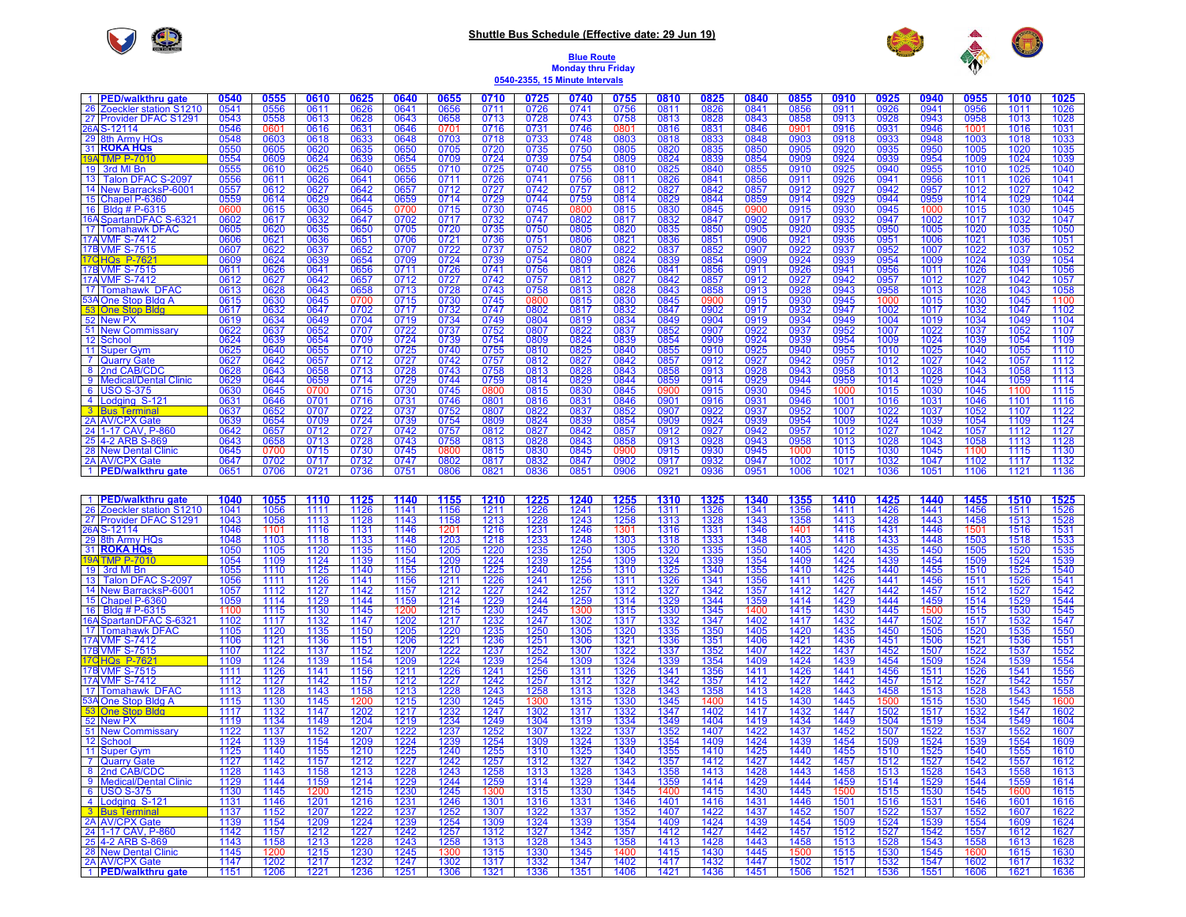## $\bigcirc$

## **Shuttle Bus Schedule (Effective date: 29 Jun 19)**



## **Blue Route Monday thru Friday 0540-2355, 15 Minute Intervals**

| 1 PED/walkthru gate                   | 0540         | 0555 | 0610                | 0625                | 0640         | 0655                | 0710 | 0725                | 0740         | 0755                | 0810         | 0825                | 0840         | 0855                | 0910         | 0925                | 0940                | 0955                | 1010         | 1025                |
|---------------------------------------|--------------|------|---------------------|---------------------|--------------|---------------------|------|---------------------|--------------|---------------------|--------------|---------------------|--------------|---------------------|--------------|---------------------|---------------------|---------------------|--------------|---------------------|
| 26 Zoeckler station S1210             | 0541         | 0556 | 0611                | 0626                | 0641         | 0656                | 0711 | 0726                | 0741         | 0756                | 0811         | 0826                | 0841         | 0856                | 0911         | 0926                | 0941                | 0956                | 1011         | 1026                |
| 27 Provider DFAC S1291                | 0543         | 0558 | 0613                | 0628                | 0643         | 0658                | 0713 | 0728                | 0743         | 0758                | 0813         | 0828                | 0843         | 0858                | 0913         | 0928                | 0943                | 0958                | 1013         | 1028                |
| 26AS-12114                            | 0546         | 0601 | 0616                | 0631                | 0646         | 0701                | 0716 | 0731                | 0746         | 0801                | 0816         | 0831                | 0846         | 0901                | 0916         | 0931                | 0946                | 1001                | 1016         | 1031                |
| 29 8th Army HQs                       | 0548         | 0603 | 0618                | 0633                | 0648         | 0703                | 0718 | 0733                | 0748         | 0803                | 0818         | 0833                | 0848         | 0903                | 0918         | 0933                | 0948                | 1003                | 1018         | 1033                |
| 31 ROKA HQS                           | 0550         | 0605 | 0620                | 0635                | 0650         | 0705                | 0720 | 0735                | 0750         | 0805                | 0820         | 0835                | 0850         | 0905                | 0920         | 0935                | 0950                | 1005                | 1020         | 1035                |
| <b>19ATMP P-70</b>                    | 0554         | 0609 | 0624                | 0639                | 0654         | 0709                | 0724 | 0739                | 0754         | 0809                | 0824         | 0839                | 0854         | 0909                | 0924         | 0939                | 0954                | 1009                | 1024         | 1039                |
| 19 3rd MI Bn                          | 0555         | 0610 | 0625                | 0640                | 0655         | 0710                | 0725 | 0740                | 0755         | 0810                | 0825         | 0840                | 0855         | 0910                | 0925         | 0940                | 0955                | 1010                | 1025         | 1040                |
| 13 Talon DFAC S-2097                  | 0556         | 0611 |                     |                     |              | 0711                | 0726 | 0741                | 0756         | 0811                | 0826         | 0841                |              |                     |              |                     |                     | 1011                | 1026         | 1041                |
| 14 New BarracksP-6001                 |              | 0612 | 0626                | 0641                | 0656         | 0712                | 0727 | 0742                |              |                     |              |                     | 0856         | 0911                | 0926         | 0941                | 0956                | 1012                | 1027         | 1042                |
|                                       | 0557<br>0559 | 0614 | $\frac{0627}{0629}$ | $\frac{0642}{0644}$ | 0657<br>0659 | 0714                | 0729 | 0744                | 0757<br>0759 | 0812                | 0827<br>0829 | 0842<br>0844        | 0857<br>0859 | 0912<br>0914        | 0927<br>0929 | 0942<br>0944        | 0957<br>0959        | 1014                | 1029         | 1044                |
| 15 Chapel P-6360                      |              |      |                     |                     |              |                     |      |                     |              | 0814                |              | 0845                |              |                     |              | 0945                |                     |                     |              |                     |
| 16 Bldg # P-6315                      | 0600         | 0615 | 0630                | 0645                | 0700         | 0715                | 0730 | 0745                | 0800         | 0815                | 0830         |                     | 0900         | 0915                | 0930         | 0947                | 1000                | 1015                | 1030         | 1045                |
| 16A SpartanDFAC S-6321                | 0602         | 0617 | 0632                | 0647                | 0702         | 0717                | 0732 | 0747                | 0802         | 0817                | 0832         | 0847                | 0902         | 0917                | 0932         |                     | 1002                | 1017                | 1032         | 1047                |
| 17 Tomahawk DFAC                      | 0605         | 0620 | 0635                | 0650                | 0705         | 0720                | 0735 | 0750                | 0805         | 0820                | 0835         | 0850                | 0905         | 0920                | 0935         | 0950                | 1005                | 1020                | 1035         | 1050                |
| <b>17A VMF S-7412</b>                 | 0606         | 0621 | 0636                | 0651                | 0706         | 0721                | 0736 | 0751                | 0806         | 0821                | 0836         | 0851                | 0906         | 0921                | 0936         | 0951                | 1006                | 1021                | 1036         | 1051                |
| 17B VMF S-7515                        | 0607         | 0622 | 0637                | 0652                | 0707         | 0722                | 0737 | 0752                | 0807         | 0822                | 0837         | 0852                | 0907         | 0922                | 0937         | 0952                | 1007                | 1022                | 1037         | 1052                |
| 17CHQs P-7621                         | 0609         | 0624 | 0639                | 0654                | 0709         | 0724                | 0739 | 0754                | 0809         | 0824                | 0839         | 0854                | 0909         | 0924                | 0939         | 0954                | 1009                | 1024                | 1039         | 1054                |
| 17B VMF S-7515                        | 0611         | 0626 | 0641                | 0656                | 0711         | 0726                | 0741 | 0756                | 0811         | 0826                | 0841         | 0856                | 0911         | 0926                | 0941         | 0956                | 1011                | 1026                | 1041         | 1056                |
| 17A VMF S-7412                        | 0612         | 0627 | 0642                | 0657                | 0712         | 0727                | 0742 | 0757                | 0812         | 0827                | 0842         | 0857                | 0912         | 0927                | 0942         | 0957                | 1012                | 1027                | 1042         | 1057                |
| 17 Tomahawk DFAC                      | 0613         | 0628 | 0643                | 0658                | 0713         | 0728                | 0743 | 0758                | 0813         | 0828                | 0843         | 0858                | 0913         | 0928                | 0943         | 0958                | 1013                | 1028                | 1043         | 1058                |
| 53A One Stop Bldg A                   | 0615         | 0630 | 0645                | 0700                | 0715         | 0730                | 0745 | 0800                | 0815         | 0830                | 0845         | 0900                | 0915         | 0930                | 0945         | 1000                | 1015                | 1030                | 1045         | 1100                |
| 53 One Stop Bldg                      | 0617         | 0632 | 0647                | 0702                | 0717         | 0732                | 0747 | 0802                | 0817         | 0832                | 0847         | 0902                | 0917         | 0932                | 0947         | 1002                | 1017                | 1032                | 1047         | 1102                |
| 52 New PX                             | 0619         | 0634 | 0649<br>0652        | 0704                | 0719         | 0734                | 0749 | 0804                | 0819         | 0834                | 0849<br>0852 | 0904                | 0919         | 0934                | 0949<br>0952 | 1004                | 1019                | 1034                | 1049<br>1052 | 1104                |
| 51 New Commissary                     | 0622         | 0637 |                     | 0707                | 0722         | 0737                | 0752 | 0807                | 0822         | 0837                |              | 0907                | 0922         |                     |              | 1007                | 1022                | 1037                |              | 1107                |
| 12 School                             | 0624         | 0639 | 0654                | 0709                | 0724         | 0739                | 0754 | 0809                | 0824         | 0839                | 0854         | 0909                | 0924         | 0939                | 0954         | 1009                | 1024                | 1039                | 1054         | 1109                |
| 11 Super Gym                          | 0625         | 0640 | 0655                | 0710                | 0725         | 0740                | 0755 | 0810                | 0825         | 0840                | 0855         | 0910                | 0925         | 0940                | 0955         | 1010                | 1025                | 1040                | 1055         | 1110                |
| 7 Quarry Gate                         | 0627         | 0642 | 0657                | 0712                | 0727         | 0742                | 0757 | 0812                | 0827         | 0842                | 0857         | 0912                | 0927         | 0942                | 0957         | 1012                | 1027                | 1042                | 1057         | 1112                |
| 8 2nd CAB/CDC                         | 0628         | 0643 | 0658                | 0713                | 0728         | 0743                | 0758 | 0813                | 0828         | 0843                | 0858         | 0913                | 0928         | 0943                | 0958         | 1013                | 1028                | 1043                | 1058         | 1113                |
| 9 Medical/Dental Clinic               | 0629         | 0644 | 0659                | 0714                | 0729         | 0744                | 0759 | 0814                | 0829         | 0844                | 0859         | 0914                | 0929         | 0944                | 0959         | 1014                | 1029                | 1044                | 1059         | 1114                |
| 6 USO S-375                           | 0630         | 0645 | 0700                | 0715                | 0730         | 0745                | 0800 | 0815                | 0830         | 0845                | 0900         | 0915                | 0930         | 0945                | 1000         | 1015                | 1030                | 1045                | 1100         | 1115                |
| 4 Lodging S-121                       | 0631         | 0646 | 0701                | 0716                | 0731         | 0746                | 0801 | 0816                | 0831         | 0846                | 0901         | 0916                | 0931         | 0946                | 1001         | 1016                | 1031                | 1046                | 1101         | 1116                |
| 3 Bus Terminal                        | 0637         | 0652 | 0707                | 0722                | 0737         | 0752                | 0807 | 0822                | 0837         | 0852                | 0907         | 0922                | 0937         | 0952                | 1007         | 1022                | 1037                | 1052                | 1107         | 1122                |
| 2A AV/CPX Gate                        | 0639         | 0654 | 0709                | 0724                | 0739         | 0754                | 0809 | 0824                | 0839         | 0854                | 0909         | 0924                | 0939         | 0954                | 1009         | 1024                | 1039                | 1054                | 1109         | 1124                |
| 24 1-17 CAV, P-860                    | 0642         | 0657 | 0712                | 0727                | 0742         | 0757                | 0812 | 0827                | 0842         | 0857                | 0912         | 0927                | 0942         | 0957                | 1012         | 1027                | 1042                | 1057                | 1112         | 1127                |
| 25 4-2 ARB S-86                       | 0643         | 0658 | 0713                | 0728                | 0743         | 0758                | 0813 | 0828                | 0843<br>0845 | 0858                | 0913         | 0928                | 0943         | 0958                | 1013         | 1028                | 1043                | 1058                | 1113         | 1128                |
| 28 New Dental Clinic                  | 0645         | 0700 | 0715                | 0730                | 0745         | 0800                | 0815 | 0830                |              | 0900                | 0915         | 0930                | 0945         | 1000                | 1015         | 1030                | 1045                | 1100                | 1115         | 1130                |
| 2A AV/CPX Gate                        | 0647         | 0702 | 0717                | 0732                | 0747         | 0802                | 0817 | 0832                | 0847         | 0902                | 0917         | 0932                | 0947         | 1002                | 1017         | 1032                | 1047                | 1102                | 1117         | 1132                |
| 1 PED/walkthru gate                   | 0651         | 0706 | 0721                | 0736                | 0751         | 0806                | 0821 | 0836                | 0851         | 0906                | 0921         | 0936                | 0951         | 1006                | 1021         | 1036                | 1051                | 1106                | 1121         | 1136                |
|                                       |              |      |                     |                     |              |                     |      |                     |              |                     |              |                     |              |                     |              |                     |                     |                     |              |                     |
|                                       |              |      |                     |                     |              |                     |      |                     |              |                     |              |                     |              |                     |              |                     |                     |                     |              |                     |
| 1 PED/walkthru gate                   | 1040         | 1055 | 1110                | 1125                | 1140         | <b>1155</b><br>1156 | 1210 | $\frac{1225}{1226}$ | 1240         | <b>1255</b><br>1256 | 1310<br>1311 | <b>1325</b><br>1326 | 1340         | <b>1355</b><br>1356 | 1410         | $\frac{1425}{1426}$ | <b>1440</b><br>1441 | <b>1455</b><br>1456 | 1510         | $\frac{1525}{1526}$ |
| 26 Zoeckler station S1210             | 1041         | 1056 | 1111                | 1126                | 1141         |                     | 1211 |                     | 1241         |                     |              |                     | 1341         |                     | 1411         |                     |                     |                     | 1511         |                     |
| 27 Provider DFAC S1291                | 1043         | 1058 | 1113                | 1128                | 1143         | 1158                | 1213 | 1228                | 1243         | 1258                | 1313         | 1328                | 1343         | 1358                | 1413         | 1428                | 1443                | 1458                | 1513         | 1528                |
| 26AS-12114                            | 1046         | 1101 | 1116                | 1131                | 1146         | 1201                | 1216 | 1231                | 1246         | 1301                | 1316         | 1331                | 1346         | 1401                | 1416         | 1431                | 1446                | 1501                | 1516         | 1531                |
| 29 8th Army HQs<br>31 <b>ROKA HQs</b> | 1048         | 1103 | 1118                | 1133                | 1148         | 1203                | 1218 | 1233                | 1248         | 1303                | 1318         | <u> 1333 </u>       | 1348         | 1403                | 1418         | 1433                | 1448                | 1503                | 1518         | 1533                |
|                                       | 1050         | 1105 | 1120                | 1135                | 1150         | 1205                | 1220 | 1235                | 1250         | 1305                | 1320         | 1335                | 1350         | 1405                | 1420         | 1435                | 1450                | 1505                | 1520         | 1535                |
| 19A TMP P-70                          | 1054         | 1109 | 1124                | 1139                | 1154         | 1209                | 1224 | 1239                | 1254         | 1309                | 1324         | 1339                | 1354         | 1409                | 1424         | 1439                | 1454                | 1509                | 1524         | 1539                |
| 19 3rd MI Bn                          | 1055         | 1110 | 1125                | 1140                | 1155         | 1210                | 1225 | 1240                | 1255         | 1310                | 1325         | 1340                | 1355         | 1410                | 1425         | 1440                | 1455                | 1510                | 1525         | 1540                |
| 13 Talon DFAC S-2097                  | 1056         | 1111 | 1126                | 1141                | 1156         | 1211                | 1226 | 1241                | 1256         | 1311                | 1326         | 1341                | 1356         | 1411                | 1426         | 1441                | 1456                | 1511                | 1526         | 1541                |
| 14 New BarracksP-6001                 | 1057         | 1112 | 1127                | 1142                | 1157         | 1212                | 1227 | 1242                | 1257         | 1312                | 1327         | 1342                | 1357         | 1412                | 1427         | 1442                | 1457                | 1512                | 1527         | 1542                |
| 15 Chapel P-6360                      | 1059         | 1114 | 1129                | 1144                | 1159         | 1214                | 1229 | 1244                | 1259         | 1314                | 1329         | 1344                | 1359         | 1414                | 1429         | 1444                | 1459                | 1514                | 1529         | 1544                |
| 16 Bldg # P-6315                      | 1100         | 1115 | 1130                | 1145                | 1200         | 1215                | 1230 | 1245                | 1300         | 1315                | 1330         | 1345                | 1400         | 1415                | 1430         | 1445                | 1500                | 1515                | 1530         | 1545                |
| 16A SpartanDFAC S-6321                | 1102         | 1117 | 1132                | 1147                | 1202<br>1205 | 1217                | 1232 | 1247                | 1302         | 1317                | 1332         | 1347                | 1402         | 1417                | 1432         | 1447                | 1502<br>1505        | 1517                | 1532         | 1547                |
| 17 Tomahawk DFAC                      | 1105         | 1120 | 1135                | 1150                |              | 1220                | 1235 | 1250                | 1305         | 1320                | 1335         | 1350                | 1405         | 1420                | 1435         | 1450                |                     | 1520                | 1535         | 1550                |
| 17A VMF S-7412                        | 1106         | 1121 | 1136                | 1151                | 1206         | 1221                | 1236 | 1251                | 1306         | 1321                | 1336         | 1351                | 1406         | 1421                | 1436         | 1451                | 1506                | 1521                | 1536         | 1551                |
| 17B VMF S-7515                        | 1107         | 1122 | 1137                | 1152                | 1207         | 1222                | 1237 | 1252                | 1307         | 1322                | 1337         | 1352                | 1407         | 1422                | 1437         | 1452                | 1507                | 1522                | 1537         | 1552                |
| 17CHQs P-7621                         | 1109         | 1124 | 1139                | 1154                | 1209         | 1224                | 1239 | 1254                | 1309         | 1324                | 1339         | 1354                | 1409         | 1424                | 1439         | 1454                | 1509                | 1524                | 1539         | 1554                |
| 17B VMF S-7515                        | 1111         | 1126 | 1141                | 1156                | 1211         | 1226                | 1241 | 1256                | 1311         | 1326                | 1341         | 1356                | 1411         | 1426                | 1441         | 1456                | 1511                | 1526                | 1541         | 1556                |
| 17A VMF S-7412                        | 1112         | 1127 | 1142                | 1157                | 1212         | 1227                | 1242 | 1257                | 1312         | 1327                | 1342         | 1357                | 1412         | 1427                | 1442         | 1457                | 1512                | 1527                | 1542         | 1557                |
| 17 Tomahawk DFAC                      | 1113         | 1128 | 1143                | 1158                | 1213         | 1228                | 1243 | 1258                | 1313         | 1328                | 1343         | 1358                | 1413         | 1428                | 1443         | 1458                | 1513                | 1528                | 1543         | 1558                |
| 53A One Stop Bldg A                   | 1115         | 1130 | 1145                | 1200                | 1215         | 1230                | 1245 | 1300                | 1315         | 1330                | 1345         | 1400                | 1415         | 1430                | 1445         | 1500                | 1515                | 1530                | 1545         | 1600                |
| 53 One Stop Bldg                      | 1117         | 1132 | 1147                | 1202                | 1217         | 1232                | 1247 | 1302                | 1317         | 1332                | 1347         | 1402                | 1417         | 1432                | 1447         | 1502                | 1517                | 1532                | 1547         | 1602                |
| 52 New PX                             | 1119         | 1134 | 1149                | 1204                | 1219         | 1234                | 1249 | 1304                | 1319         | 1334                | 1349         | 1404                | 1419         | 1434                | 1449         | 1504                | 1519                | 1534                | 1549         | 1604                |
| 51 New Commissary                     | 1122         | 1137 | 1152                | 1207                | 1222         | 1237                | 1252 | 1307                | 1322         | 1337                | 1352         | 1407                | 1422         | 1437                | 1452         | 1507                | 1522                | 1537                | 1552         | 1607                |
| 12 School                             | 1124         | 1139 | 1154                | 1209                | 1224         | 1239                | 1254 | 1309                | 1324         | 1339                | 1354         | 1409                | 1424         | 1439                | 1454         | 1509                | 1524                | 1539                | 1554         | 1609                |
| 11 Super Gym                          | 1125         | 1140 | 1155                | 1210                | 1225         | 1240                | 1255 | 1310                | 1325         | 1340                | 1355         | 1410                | 1425         | 1440                | 1455         | 1510                | 1525<br>1527        | 1540                | 1555         | 1610                |
| 7 Quarry Gate                         | 1127         | 1142 | 1157                | 1212                | 1227         | 1242                | 1257 | 1312                | 1327         | 1342                | 1357         | 1412                | 1427         | 1442                | 1457         | 1512                |                     | 1542                | 1557         | 1612                |
| 8 2nd CAB/CDC                         | 1128         | 1143 | 1158                | 1213                | 1228         | 1243                | 1258 | 1313                | 1328         | 1343                | 1358         | 1413                | 1428         | 1443                | 1458         | 1513                | 1528                | 1543                | 1558         | 1613                |
| 9 Medical/Dental Clinic               | 1129         | 1144 | 1159                | 1214                | 1229         | 1244                | 1259 | 1314                | 1329         | 1344                | 1359         | 1414                | 1429         | 1444                | 1459         | 1514                | 1529                | 1544                | 1559         | 1614                |
| 6 USO S-375                           | 1130         | 1145 | 1200                | 1215                | 1230         | 1245                | 1300 | 1315                | 1330         | 1345                | 1400         | 1415                | 1430         | 1445                | 1500         | 1515                | 1530                | 1545                | 1600         | 1615                |
| 4 Lodging S-121                       | 1131         | 1146 | 1201                | 1216                | 1231         | 1246                | 1301 | 1316                | 1331         | 1346                | 1401         | 1416                | 1431         | 1446                | 1501         | 1516                | 1531                | 1546                | 1601         | 1616                |
| <b>3</b> Bus Terminal                 | 1137         | 1152 | 1207                | 1222                | 1237         | 1252                | 1307 | 1322                | 1337         | 1352                | 1407         | 1422                | 1437         | 1452                | 1507         | 1522                | 1537                | 1552                | 1607         | 1622                |
| 2A AV/CPX Gate                        | 1139         | 1154 | 1209                | 1224                | 1239         | 1254                | 1309 | 1324                | 1339         | 1354                | 1409         | 1424                | 1439         | 1454                | 1509         | 1524                | 1539                | 1554                | 1609         | 1624                |
| 24 1-17 CAV, P-860                    | 1142         | 1157 | 1212                | 1227                | 1242         | 1257                | 1312 | 1327                | 1342         | 1357                | 1412         | 1427                | 1442         | 1457                | 1512         | 1527                | 1542                | 1557                | 1612         | 1627                |
| 25 4-2 ARB S-869                      | 1143         | 1158 | 1213                | 1228                | 1243         | 1258                | 1313 | 1328                | 1343         | 1358                | 1413         | 1428                | 1443         | 1458                | 1513         | 1528                | 1543                | 1558                | 1613         | 1628                |
| 28 New Dental Clinic                  | 1145         | 1200 | 1215                | 1230                | 1245         | 1300                | 1315 | 1330                | 1345         | 1400                | 1415         | 1430                | 1445         | 1500                | 1515         | 1530                | 1545                | 1600                | 1615         | 1630                |
| 2A AV/CPX Gate                        | 1147         | 1202 | 1217                | 1232                | 1247         | 1302                | 1317 | 1332                | 1347         | 1402                | 1417         | 1432                | 1447         | 1502                | 1517         | 1532                | 1547                | 1602                | 1617         | 1632                |
| 1 PED/walkthru gate                   | 1151         | 1206 | 1221                | 1236                | 1251         | 1306                | 1321 | 1336                |              | 1406                | 1421         | 1436                | 1451         | 1506                | 1521         | 1536                | 1551                | 1606                | 1621         | 1636                |
|                                       |              |      |                     |                     |              |                     |      |                     | 1351         |                     |              |                     |              |                     |              |                     |                     |                     |              |                     |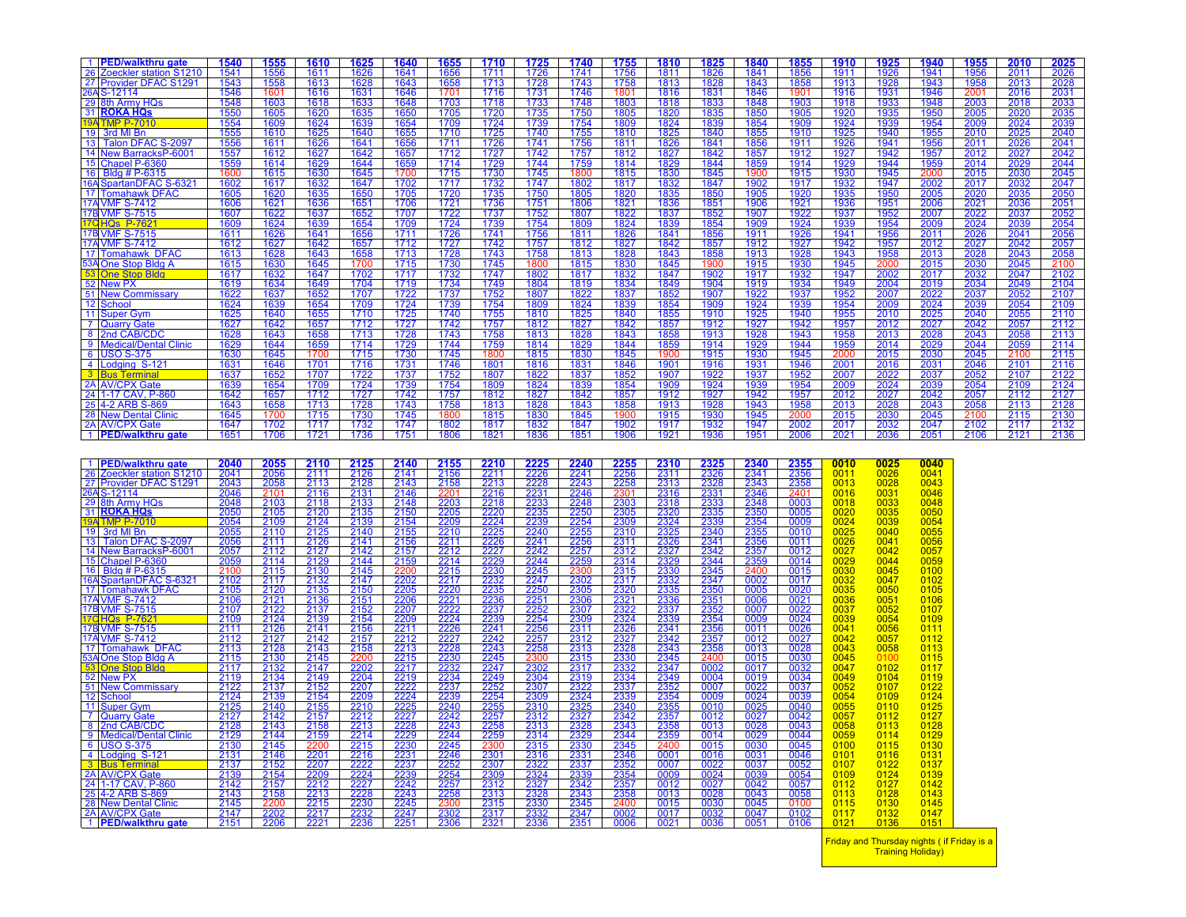|   | 1 PED/walkthru gate                                                | 1540                                 | 1555                                | 1610                                 | 1625                                                                | 1640                                                                | 1655                                                         | 1710                         | 1725                                                                        | 1740                                                         | 1755                                                         | 1810                                                 | 1825                                         | 1840                                    | 1855                                                      | <b>1910</b>                 | 1925                | 1940                         | 1955                                          | 2010                                                 | 2025                         |
|---|--------------------------------------------------------------------|--------------------------------------|-------------------------------------|--------------------------------------|---------------------------------------------------------------------|---------------------------------------------------------------------|--------------------------------------------------------------|------------------------------|-----------------------------------------------------------------------------|--------------------------------------------------------------|--------------------------------------------------------------|------------------------------------------------------|----------------------------------------------|-----------------------------------------|-----------------------------------------------------------|-----------------------------|---------------------|------------------------------|-----------------------------------------------|------------------------------------------------------|------------------------------|
|   | 26 Zoeckler station S1210                                          | 1541                                 | 1556                                | 1611                                 | 1626                                                                | 1641                                                                | 1656                                                         | 1711                         | 1726                                                                        | 1741                                                         | <u>1756</u>                                                  | 1811                                                 | 1826                                         | 1841                                    | 1856                                                      | 1911                        | 1926                | 1941                         | 1956                                          | 2011                                                 | 2026                         |
|   | 27 Provider DFAC S1291                                             | 1543                                 | 1558                                | 1613                                 | 1628                                                                | 1643                                                                | 1658                                                         | 1713                         | 1728                                                                        | 1743                                                         | 1758                                                         | 1813                                                 | 1828                                         | 1843                                    | 1858                                                      | 1913                        | 1928                | 1943                         | 1958                                          | 2013                                                 | 2028                         |
|   | 26A S-12114                                                        | 1546                                 | 1601                                | 1616                                 | 1631                                                                | 1646                                                                | 1701                                                         | 1716                         | 1731                                                                        | 1746                                                         | 1801                                                         | 1816                                                 | 1831                                         | 1846                                    | 1901                                                      | 1916                        | 1931                | 1946                         | 2001                                          | 2016                                                 | 2031                         |
|   | 29 8th Army HQs                                                    | 1548                                 | 1603                                | 1618                                 | 1633                                                                | 1648                                                                | 1703                                                         | 1718                         | 1733                                                                        | 1748                                                         | 1803                                                         | 1818                                                 | 1833                                         | 1848                                    | 1903                                                      | 1918                        | 1933                | 1948                         | 2003                                          | 2018                                                 | 2033                         |
|   | 31 ROKA HQS                                                        | 1550<br>1554                         | 1605                                | 1620                                 | 1635                                                                | 1650                                                                | 1705                                                         | 1720                         | 1735                                                                        | 1750                                                         | 1805                                                         | 1820                                                 | 1835                                         | 1850                                    | 1905                                                      | 1920                        | 1935                | 1950                         | 2005                                          | 2020                                                 | 2035                         |
|   | 19A TMP P-701                                                      |                                      | 1609                                | 1624                                 | 1639                                                                | 1654                                                                | 1709                                                         | 1724                         | 1739                                                                        | 1754                                                         | 1809                                                         | 1824                                                 | 1839                                         | 1854                                    | 1909                                                      | 1924                        | 1939                | 1954                         | 2009                                          | 2024                                                 | 2039                         |
|   | 19 3rd MI Bn                                                       | 1555                                 | 1610                                | 1625                                 | 1640                                                                | 1655                                                                | 1710                                                         | 1725                         | 1740                                                                        | 1755                                                         | 1810                                                         | 1825                                                 | 1840                                         | 1855                                    | 1910                                                      | 1925                        | 1940                | 1955                         | 2010                                          | 2025                                                 | 2040                         |
|   | 13 Talon DFAC S-2097                                               | 1556                                 | 1611                                | 1626                                 | 1641                                                                | 1656                                                                | 1711                                                         | 1726                         | 1741                                                                        | 1756                                                         | 1811                                                         | 1826                                                 | 1841                                         | 1856                                    | 1911                                                      | 1926                        | 1941                | 1956                         | 2011                                          | 2026                                                 | 2041                         |
|   | 14 New BarracksP-6001                                              | 1557                                 | 1612                                | 1627                                 | 1642                                                                | 1657                                                                | 1712                                                         | 1727                         | 1742                                                                        | 1757                                                         | 1812                                                         | 1827                                                 | 1842                                         | 1857                                    | 1912                                                      | 1927                        | 1942                | 1957                         |                                               |                                                      | 2042<br>2044                 |
|   | 15 Chapel P-6360                                                   | 1559                                 | 1614                                | 1629                                 | 1644                                                                | <u>1659</u>                                                         | 1714                                                         | 1729                         | 1744                                                                        | 1759                                                         | 1814                                                         | 1829                                                 | 1844                                         | 1859                                    | 1914                                                      | 1929                        | 1944                | 1959                         | $\frac{\frac{2012}{2012}}{\frac{2014}{2015}}$ | 2027<br>2027<br>2029<br>2030<br>2032<br>2035<br>2035 |                              |
|   | 16 Bldg # P-6315                                                   | 1600                                 | 1615                                | 1630                                 | 1645                                                                | 1700                                                                | 1715                                                         | 1730                         | 1745                                                                        | <u> 1800</u>                                                 | 1815                                                         | 1830                                                 | 1845                                         | <u> 1900</u>                            | 1915                                                      | 1930                        | 1945                | 2000<br>2002<br>2005<br>2006 |                                               |                                                      | 2045<br>2047<br>2050<br>2051 |
|   | 16A SpartanDFAC S-6321                                             | 1602                                 | 1617                                | 1632                                 | 1647                                                                | 1702                                                                | 1717                                                         | 1732                         | 1747                                                                        | 1802                                                         | 1817                                                         | 1832                                                 | 1847                                         | 1902<br>1905                            | 1917                                                      | 1932                        | 1947                |                              |                                               |                                                      |                              |
|   | 17 Tomahawk DFAC                                                   | 1605                                 | <b>1620</b>                         | 1635                                 | 1650                                                                | 1705                                                                | 1720                                                         | 1735                         | 1750                                                                        | 1805                                                         | 1820                                                         | 1835                                                 | 1850                                         |                                         | 1920                                                      | 1935                        | 1950                |                              |                                               |                                                      |                              |
|   | 17A VMF S-7412                                                     | 1606                                 | 1621                                | 1636                                 | 1651                                                                | 1706                                                                | 1721                                                         | 1736                         | 1751                                                                        | 1806                                                         | 1821                                                         | 1836                                                 | 1851                                         | 1906                                    | 1921                                                      | 1936                        | 1951                |                              |                                               |                                                      |                              |
|   | 17B VMF S-7515                                                     | 1607                                 | 1622                                | 1637                                 | 1652                                                                | 1707                                                                | 1722                                                         | 1737                         | 1752                                                                        | 1807                                                         | 1822                                                         | 1837                                                 | 1852                                         | 1907                                    | 1922                                                      | 1937                        | 1952                | 2007                         | 2022                                          | 2037                                                 | 2052                         |
|   | 17C HQs P-7621                                                     | 1609                                 | 1624                                | 1639                                 | 1654                                                                | 1709                                                                | 1724                                                         | 1739                         | 1754                                                                        | 1809                                                         | 1824                                                         | 1839                                                 | 1854                                         | 1909                                    | 1924                                                      | 1939                        | 1954                | 2009                         | 2024                                          | 2039                                                 | 2054                         |
|   | 17B VMF S-7515                                                     | 1611                                 | 1626                                | 1641                                 | 1656                                                                | 1711                                                                | 1726                                                         | 1741                         | 1756                                                                        | 1811                                                         | 1826                                                         | 1841                                                 | 1856                                         | 1911                                    | 1926                                                      | 1941                        | 1956                | 2011                         | 2026                                          | 2041                                                 | 2056                         |
|   | 17A VMF S-7412                                                     | 1612                                 | 1627                                | 1642                                 | 1657                                                                | 1712                                                                | 1727                                                         | 1742                         | 1757                                                                        | 1812                                                         | 1827                                                         | 1842                                                 | 1857                                         | 1912                                    | 1927                                                      | 1942                        | 1957                | 2012                         | 2027                                          | 2042                                                 | 2057                         |
|   | 17 Tomahawk DFAC                                                   | 1613                                 | 1628                                | 1643                                 | 1658                                                                | 1713                                                                | 1728                                                         | 1743                         | 1758                                                                        | 1813                                                         | 1828                                                         | 1843                                                 | 1858                                         | 1913                                    | 1928                                                      | 1943                        | 1958                | 2013                         | 2028                                          | 2043                                                 | 2058                         |
|   | 53A One Stop Bldg A                                                | 1615                                 | 1630                                | 1645                                 | 1700                                                                | 1715                                                                | 1730                                                         | 1745                         | 1800                                                                        | 1815                                                         | 1830                                                         | 1845                                                 | 1900                                         | 1915                                    | 1930                                                      | 1945                        | 2000                | 2015                         | 2030                                          | 2045                                                 | 2100                         |
|   | 53 One Stop Bldg                                                   | 1617                                 | 1632                                | 1647                                 | 1702                                                                | 1717                                                                | 1732                                                         | 1747                         | 1802                                                                        | 1817                                                         | 1832                                                         | 1847                                                 | 1902                                         | 1917                                    | 1932                                                      | 1947                        | 2002                | 2017                         | 2032                                          | 2047                                                 | 2102                         |
|   | 52 New PX                                                          | 1619                                 | 1634                                | 1649                                 | 1704                                                                | 1719                                                                | 1734                                                         | 1749                         | 1804                                                                        | 1819                                                         | 1834                                                         | 1849                                                 | 1904                                         | 1919                                    | 1934                                                      | 1949                        | 2004                | 2019                         | 2034                                          | 2049                                                 | 2104                         |
|   | 51 New Commissary                                                  | 1622                                 | 1637                                | <u>1652</u>                          | 1707                                                                | 1722                                                                | <u> 1737 </u>                                                | 1752                         | 1807                                                                        | <u> 1822</u>                                                 | 1837                                                         | 1852                                                 | 1907                                         | 1922                                    | 1937                                                      | 1952                        | 2007                | 2022                         | 2037                                          | 2052                                                 | 2107                         |
|   | 12 School                                                          | 1624                                 | 1639                                | 1654                                 | 1709<br>1710                                                        | 1724                                                                | 1739<br>1740                                                 | 1754                         | 1809<br>1810                                                                | 1824                                                         | 1839                                                         | 1854                                                 | <u>1909</u><br>1910                          | 1924                                    | 1939                                                      | 1954                        | <u> 2009</u>        | 2024                         | 2039                                          | 2054                                                 | 2109                         |
|   | 11 Super Gym                                                       | 1625<br>1627                         | 1640<br>1642                        | 1655<br>1657                         | 1712                                                                | 1725<br>1727                                                        | 1742                                                         | 1755<br>1757                 | 1812                                                                        | <u>1825</u><br>1827                                          | 1840<br>1842                                                 | 1855<br>1857                                         | 1912                                         | <u>1925</u><br>1927                     | 1940<br>1942                                              | <u>1955</u><br>1957         | 2010                | 2025<br>2027                 | 2040<br>2042                                  | 2055<br>2057                                         | 2110<br>2112                 |
|   | 7 Quarry Gate<br>8 2nd CAB/CDC                                     | 1628                                 | 1643                                | 1658                                 | 1713                                                                | 1728                                                                | 1743                                                         | 1758                         | 1813                                                                        | <u> 1828</u>                                                 | 1843                                                         | 1858                                                 |                                              | 1928                                    | 1943                                                      | 1958                        | <u>2012</u>         | 2028                         |                                               |                                                      | 2113                         |
| 9 | <b>Medical/Dental Clinic</b>                                       | 1629                                 | 1644                                | 1659                                 | 1714                                                                | 1729                                                                | 1744                                                         | 1759                         | 1814                                                                        | 1829                                                         | 1844                                                         | 1859                                                 | 1913<br>1914                                 | 1929                                    | 1944                                                      | 1959                        | $\frac{2013}{2014}$ |                              | 2043<br>2044                                  | 2058<br>2059                                         | 2114                         |
|   | 6 USO S-375                                                        | 1630                                 | 1645                                | 1700                                 | 1715                                                                | 1730                                                                | 1745                                                         | 1800                         | 1815                                                                        | 1830                                                         | 1845                                                         | 1900                                                 | 1915                                         | 1930                                    | 1945                                                      | 2000                        |                     | 2029<br>2030                 | 2045                                          | 2100                                                 | 2115                         |
|   | 4 Lodging S-121                                                    | 1631                                 | 1646                                | 1701                                 | 1716                                                                | 1731                                                                | 1746                                                         | 1801                         | 1816                                                                        | 1831                                                         | 1846                                                         | 1901                                                 | 1916                                         | 1931                                    | 1946                                                      | 2001                        | 2016                | 2031                         | 2046                                          | 2101                                                 | 2116                         |
|   | 3 Bus Terminal                                                     | 1637                                 | 1652                                | 1707                                 | 1722                                                                | 1737                                                                | 1752                                                         | 1807                         | 1822                                                                        | 1837                                                         | 1852                                                         | 1907                                                 | 1922                                         | 1937                                    | 1952                                                      | 2007                        | 2022                | 2037                         | 2052                                          | 2107                                                 | 2122                         |
|   | 2A AV/CPX Gate                                                     | 1639                                 | 1654                                | 1709                                 | 1724                                                                | 1739                                                                | 1754                                                         | 1809                         | 1824                                                                        | 1839                                                         | 1854                                                         | 1909                                                 | 1924                                         | 1939                                    | 1954                                                      | 2009                        | 2024                | 2039                         | 2054                                          | 2109                                                 | 2124                         |
|   | 24 1-17 CAV, P-860                                                 | 1642                                 | 1657                                | 1712                                 | 1727                                                                | 1742                                                                | 1757                                                         | 1812                         | 1827                                                                        | 1842                                                         | 1857                                                         | 1912                                                 | 1927                                         | 1942                                    | 1957                                                      | 2012                        | 2027                | 2042                         | 2057                                          | 2112                                                 | 2127                         |
|   | 25 4-2 ARB S-869                                                   | 1643                                 | 1658                                | 1713                                 | 1728                                                                | 1743                                                                | 1758                                                         | 1813                         | 1828                                                                        | 1843                                                         | 1858                                                         | 1913                                                 | 1928                                         | 1943                                    | 1958                                                      | 2013                        | 2028                | 2043                         | 2058                                          | 2113                                                 | 2128                         |
|   | 28 New Dental Clinic                                               | 1645                                 | 1700                                | 1715                                 | 1730                                                                | 1745                                                                | 1800                                                         | 1815                         | 1830                                                                        | 1845                                                         | 1900                                                         | 1915                                                 | 1930                                         | 1945                                    | 2000                                                      | 2015                        | 2030                | 2045                         | 2100                                          | 2115                                                 | 2130                         |
|   | 2A AV/CPX Gate                                                     | 1647                                 | 1702                                | 1717                                 | 1732                                                                | 1747                                                                | 1802                                                         | 1817                         | 1832                                                                        | 1847                                                         | 1902                                                         | 1917                                                 | 1932                                         | 1947                                    | 2002                                                      | 2017                        | 2032                | 2047                         | 2102                                          | 2117                                                 | 2132                         |
|   | 1 PED/walkthru gate                                                | 1651                                 | 1706                                | 1721                                 | 1736                                                                | 1751                                                                | 1806                                                         | 1821                         | 1836                                                                        | 1851                                                         | 1906                                                         | 1921                                                 | 1936                                         | 1951                                    | 2006                                                      | 2021                        | 2036                | 2051                         | 2106                                          | 2121                                                 | 2136                         |
|   |                                                                    |                                      |                                     |                                      |                                                                     |                                                                     |                                                              |                              |                                                                             |                                                              |                                                              |                                                      |                                              |                                         |                                                           |                             |                     |                              |                                               |                                                      |                              |
|   |                                                                    |                                      |                                     |                                      |                                                                     |                                                                     |                                                              |                              |                                                                             |                                                              |                                                              |                                                      |                                              |                                         |                                                           |                             |                     |                              |                                               |                                                      |                              |
|   |                                                                    |                                      |                                     |                                      |                                                                     |                                                                     |                                                              |                              |                                                                             |                                                              |                                                              |                                                      |                                              |                                         |                                                           |                             |                     |                              |                                               |                                                      |                              |
|   | 1 PED/walkthru gate                                                |                                      |                                     |                                      |                                                                     |                                                                     |                                                              |                              |                                                                             |                                                              |                                                              |                                                      |                                              |                                         |                                                           | 0010                        | 0025                | 0040                         |                                               |                                                      |                              |
|   | 26 Zoeckler station S1210                                          | $\frac{2040}{2041}$                  | 2055<br>2056                        | $\frac{2110}{2111}$                  | $\frac{2125}{2126}$                                                 | $\frac{2140}{2141}$                                                 |                                                              | $\frac{2210}{2211}$          |                                                                             |                                                              |                                                              |                                                      |                                              |                                         | 2355<br>2356                                              | 0011                        | 0026                | 0041                         |                                               |                                                      |                              |
|   | 27 Provider DFAC S1291                                             | 2043                                 | 2058                                | 2113                                 | 2128                                                                | 2143                                                                | $\frac{2155}{2156}$<br>2158                                  | 2213                         | $\frac{2225}{2226}$                                                         | $\frac{2240}{2241}$<br>2243                                  | $\frac{2255}{2256}$<br>2258                                  | $\frac{2310}{2311}$                                  | 2325<br>2326<br>2328                         | $\frac{2340}{2341}$ $\frac{2343}{2343}$ | 2358                                                      | 0013                        | 0028                | 0043                         |                                               |                                                      |                              |
|   | 26A S-12114                                                        | 2046                                 | 2101                                | 2116                                 | 2131                                                                | 2146                                                                | 2201                                                         | 2216                         | 2231                                                                        | 2246                                                         | 2301                                                         | 2316                                                 | 2331                                         | 2346                                    | 2401                                                      | 0016                        | 0031                | 0046                         |                                               |                                                      |                              |
|   | 29 8th Army HQs                                                    | 2048                                 | 2103                                | 2118                                 | 2133                                                                | 2148                                                                | 2203                                                         | 2218                         | 2233                                                                        | <u>2248</u>                                                  | 2303                                                         | 2318                                                 | 2333                                         | 2348                                    | 0003                                                      | 0018                        | 0033                | 0048                         |                                               |                                                      |                              |
|   | 31 ROKA HQS                                                        |                                      |                                     |                                      |                                                                     |                                                                     |                                                              | $\frac{2220}{222}$           |                                                                             |                                                              |                                                              |                                                      |                                              |                                         | 0005                                                      | 0020                        | 0035<br>0039        | 0050<br>0054                 |                                               |                                                      |                              |
|   |                                                                    |                                      |                                     |                                      |                                                                     |                                                                     |                                                              |                              |                                                                             |                                                              |                                                              |                                                      |                                              |                                         |                                                           |                             | 0040                | 0055                         |                                               |                                                      |                              |
|   | 19A <mark>TMP P-701</mark><br>19 3rd MI Bn<br>13 Talon DFAC S-2097 | $\frac{2050}{2054}$<br>2054<br>2056  | 2105<br>2109<br>2110<br>2111        |                                      | 2135<br>2139<br>2140<br>2141                                        |                                                                     |                                                              |                              |                                                                             |                                                              |                                                              |                                                      |                                              |                                         | $\frac{0009}{0010}$<br>0011                               | $\frac{0024}{0025}$<br>0026 | 0041                | 0056                         |                                               |                                                      |                              |
|   | 14 New BarracksP-6001                                              | 2057                                 | 2112                                | 2120<br>2124<br>2125<br>2126<br>2127 | 2142                                                                | 2150<br>2154<br>2155<br>2156<br>2157                                | 2205<br>2209<br>2210<br>2211                                 | $\frac{2224}{2225}$<br>2225  | $\frac{\frac{2235}{2239}}{\frac{2239}{2240}}$                               | $\frac{2250}{2254}$<br>$\frac{2255}{2256}$                   | 2305<br>2309<br>2310<br>2311<br>2312                         |                                                      | 2335<br>2339<br>2340<br>2341                 | 2350<br>2354<br>2355<br>2356            | 0012                                                      | 0027                        | 0042                | 0057                         |                                               |                                                      |                              |
|   | 15 Chapel P-6360                                                   | 2059                                 | 2114                                | 2129                                 | 2144                                                                | 2159                                                                | $\frac{2212}{2214}$                                          | 2227<br>2229                 | $\frac{2242}{2244}$                                                         | 2257                                                         | 2314                                                         | 2320<br>2324<br>2325<br>2326<br>2327<br>2329         | 2342<br>2344                                 | 2357                                    | 0014                                                      | 0029                        | 0044                | 0059                         |                                               |                                                      |                              |
|   | 16 Bldg # P-6315                                                   | 2100                                 | 2115                                | 2130                                 | 2145                                                                | 2200                                                                | 2215                                                         | 2230                         | 2245                                                                        | 2300                                                         | 2315                                                         | 2330                                                 | 2345                                         | 2400                                    | 0015                                                      | 0030                        | 0045                | 0100                         |                                               |                                                      |                              |
|   | 16A SpartanDFAC S-6321                                             |                                      | 2117                                | 2132                                 | 2147                                                                |                                                                     |                                                              | 2232                         |                                                                             |                                                              | 2317                                                         |                                                      |                                              | 0002                                    | 0017                                                      | 0032                        | 0047                | 0102                         |                                               |                                                      |                              |
|   | 17 Tomahawk DFAC                                                   |                                      |                                     |                                      |                                                                     |                                                                     |                                                              |                              |                                                                             |                                                              | 2320                                                         |                                                      |                                              | 0005                                    | 0020                                                      | 0035                        | 0050                | 0105                         |                                               |                                                      |                              |
|   |                                                                    |                                      |                                     |                                      |                                                                     |                                                                     |                                                              |                              |                                                                             |                                                              |                                                              |                                                      |                                              | 0006                                    | 0021                                                      | 0036                        | 0051                | 0106                         |                                               |                                                      |                              |
|   | 17A VMF S-7412<br>17B VMF S-7515                                   |                                      |                                     |                                      |                                                                     |                                                                     |                                                              |                              |                                                                             |                                                              |                                                              |                                                      |                                              |                                         | 0022                                                      | 0037                        | 0052                | 0107                         |                                               |                                                      |                              |
|   | <mark>I7C</mark> HQs P-76:                                         | 2102<br>2105<br>2106<br>2107<br>2109 | 2120<br>2121<br>2122<br>2124        | 2135<br>2136<br>2137<br>2139         | $\frac{2150}{2151}$<br>$\frac{2152}{2154}$                          | $\frac{2202}{2205}$ $\frac{2206}{2207}$ $\frac{2207}{2209}$         | 2217<br>2220<br>2221<br>2222<br>22224                        | 2235<br>2236<br>2237<br>2239 |                                                                             |                                                              | 2321<br>2322<br>2324                                         | 2332<br>2335<br>2336<br>2337<br>2339<br>2339         |                                              | $\frac{0007}{0009}$                     | 0024                                                      | 0039                        | 0054                | 0109                         |                                               |                                                      |                              |
|   | 17B VMF S-7515                                                     | 2111                                 | 2126                                | 2141                                 | 2156                                                                | 2211                                                                | 2226                                                         | 2241                         | 2247<br>2250<br>2251<br>2252<br>2254<br>2254<br>2355                        | 2302<br>2305<br>2306<br>2307<br>2307<br>2309<br>2311         | 2326                                                         | 2341                                                 | 2347<br>2350<br>2351<br>2352<br>2354<br>2356 | 0011                                    | 0026                                                      | 0041<br>0042                | 0056<br>0057        | 0111<br>0112                 |                                               |                                                      |                              |
|   | 17A VMF S-7412                                                     | 2112<br>2113                         | 2127<br>2128                        | 2142<br>2143                         | 2157<br>2158                                                        | 2212<br>2213                                                        | 2227                                                         | 2242<br>2243                 | 2257<br>2258                                                                | 2312<br>2313                                                 | 2327                                                         | 2342                                                 | 2357<br>2358                                 | 0012<br>0013                            | 0027<br>0028                                              | 0043                        | 0058                | 0113                         |                                               |                                                      |                              |
|   | 17 Tomahawk DFAC<br>53A One Stop Bldg A                            |                                      |                                     |                                      |                                                                     |                                                                     | <u>2228</u>                                                  |                              |                                                                             |                                                              | 2328                                                         | 2343                                                 |                                              | 0015                                    |                                                           | 0045                        | 0100                | 0115                         |                                               |                                                      |                              |
|   | 53 One Stop Bldg                                                   |                                      |                                     |                                      |                                                                     |                                                                     |                                                              |                              |                                                                             |                                                              |                                                              |                                                      |                                              |                                         |                                                           | 0047                        | 0102                | 0117                         |                                               |                                                      |                              |
|   | 52 New PX                                                          |                                      |                                     |                                      |                                                                     |                                                                     |                                                              |                              |                                                                             |                                                              | 2330<br>2332                                                 |                                                      | $\frac{2400}{0002}$<br>0004                  | 0017<br>0019                            | $\begin{array}{c} 0030 \\[-4pt] 0032 \end{array}$<br>0034 | 0049                        | 0104                | 0119                         |                                               |                                                      |                              |
|   | 51 New Commissary                                                  | 2115<br>2117<br>2119<br>2122         | 2130<br>2132<br>2134<br>2137        |                                      |                                                                     |                                                                     |                                                              | 2245<br>2247<br>2249<br>2252 |                                                                             |                                                              |                                                              |                                                      | 0007                                         | 0022                                    | 0037                                                      | 0052                        | 0107                | 0122                         |                                               |                                                      |                              |
|   | 12 School                                                          | $\frac{2122}{2124}$                  | 2139                                | 2145<br>2147<br>2149<br>2152<br>2154 |                                                                     |                                                                     |                                                              | 2254                         |                                                                             |                                                              | 2334<br>2337<br>2339                                         |                                                      | 0009                                         | 0024                                    | 0039                                                      | 0054                        | 0109                | 0124                         |                                               |                                                      |                              |
|   | 11 Super Gym                                                       | 2125                                 | 2140                                | 2155                                 | 2200<br>2202<br>2204<br>2207<br>2209<br>2313<br>2210                | $\frac{2215}{2217}$ $\frac{2219}{2222}$ $\frac{2222}{2224}$<br>2225 | 2230<br>2232<br>2234<br>2237<br>2237<br>2239<br>2240         | 2255                         | 2300<br>2302<br>2304<br>2307<br>2309<br>2309<br>2310                        | 2315<br>2317<br>2319<br>2322<br>2324<br>2324<br>2325         | 2340                                                         | 2345<br>2347<br>2349<br>2352<br>2354<br>2354<br>2355 | 0010                                         | 0025                                    | 0040                                                      | 0055                        | 0110                | 0125                         |                                               |                                                      |                              |
|   | 7 Quarry Gate                                                      |                                      | 2142                                |                                      | 2212                                                                |                                                                     |                                                              |                              |                                                                             |                                                              |                                                              |                                                      | 0012                                         | 0027                                    | 0042                                                      | 0057                        | 0112                | 0127                         |                                               |                                                      |                              |
|   | 8 2nd CAB/CDC                                                      |                                      | 2143                                |                                      |                                                                     |                                                                     |                                                              |                              |                                                                             |                                                              |                                                              |                                                      | 0013                                         |                                         | 0043                                                      | 0058                        | 0113                | 0128                         |                                               |                                                      |                              |
|   |                                                                    | $\frac{2127}{2128}$                  | 2144                                | 2157<br>2158<br>2159                 |                                                                     |                                                                     |                                                              | 2257<br>2258<br>2259         |                                                                             |                                                              |                                                              | 2357<br>2358<br>2359                                 | 0014                                         | $\frac{0028}{0029}$                     | 0044                                                      | 0059                        | 0114                | 0129                         |                                               |                                                      |                              |
|   | 9 Medical/Dental Clinic<br>6 USO S-375                             |                                      |                                     |                                      |                                                                     |                                                                     |                                                              |                              |                                                                             |                                                              |                                                              |                                                      |                                              |                                         |                                                           | 0100                        | 0115                | 0130                         |                                               |                                                      |                              |
|   | 4 Lodging S-121                                                    |                                      | 2145<br>2146                        |                                      |                                                                     |                                                                     |                                                              |                              |                                                                             |                                                              |                                                              | $\frac{2400}{0001}$                                  | $\frac{0015}{0016}$                          | $\frac{0030}{0031}$                     |                                                           | 0101<br>0107                | 0116<br>0122        | 0131<br>0137                 |                                               |                                                      |                              |
|   | 3 Bus Terminal<br>2A AV/CPX Gate                                   | 2130<br>2131<br>2137<br>2139         | 2152<br>2154                        |                                      |                                                                     |                                                                     |                                                              | 2300<br>2301<br>2307<br>2309 |                                                                             |                                                              |                                                              | 0007<br>0009                                         | 0022<br>0024                                 | 0037<br>0039                            | $\frac{0045}{0046}$<br>0054                               | 0109                        | 0124                | 0139                         |                                               |                                                      |                              |
|   | 24 1-17 CAV, P-860                                                 | 2142                                 | 2157                                | 2200<br>2201<br>2207<br>2209<br>2212 | $\frac{2213}{2214}$ $\frac{2215}{2222}$ $\frac{2222}{2222}$<br>2227 | 2227<br>2228<br>2229<br>2230<br>2237<br>2237<br>2239<br>2242        | 2242<br>2243<br>2244<br>2245<br>2252<br>2252<br>2254<br>2257 | 2312                         | 2312<br>2313<br>2314<br>2315<br>2322<br>2322<br>2322<br>2324<br>2327        | 2327<br>2328<br>2329<br>2330<br>2331<br>2337<br>2339<br>2342 | 2342<br>2343<br>2344<br>2345<br>2352<br>2352<br>2354<br>2357 | 0012                                                 | 0027                                         | 0042                                    | 0057                                                      | 0112                        | 0127                | 0142                         |                                               |                                                      |                              |
|   | 25 4-2 ARB S-869                                                   |                                      | 2158                                | 2213                                 | 2228                                                                |                                                                     | 2258                                                         | 2313                         | 2328                                                                        |                                                              | 2358                                                         | 0013                                                 | 0028                                         | 0043                                    | 0058                                                      | 0113                        | 0128                | 0143                         |                                               |                                                      |                              |
|   |                                                                    |                                      |                                     |                                      |                                                                     |                                                                     |                                                              | 2315                         |                                                                             |                                                              |                                                              | 0015                                                 | 0030                                         | 0045                                    | 0100                                                      | 0115                        | 0130                | 0145                         |                                               |                                                      |                              |
|   | 28 New Dental Clinic<br>2A AV/CPX Gate<br>1 PED/walkthru gate      | 2143<br>2145<br>2147<br>2151         | $\frac{2200}{2000}$<br>2202<br>2206 | $\frac{2215}{2217}$<br>2217          | $\frac{2230}{2222}$<br>$\frac{2232}{2236}$                          | 2243<br>2245<br>2247<br>2251                                        | 2300<br>2302<br>2306                                         | $\frac{2317}{2321}$          | $\begin{array}{r}\n 2330 \\  \hline\n 2332 \\  \hline\n 2336\n \end{array}$ | 2343<br>2345<br>2347<br>2351                                 | 2400<br>0002<br>0006                                         | 0017<br>0021                                         | 0032<br>0036                                 | 0047<br>0051                            | 0102<br>0106                                              | 0117<br>0121                | 0132<br>0136        | 0147<br>0151                 |                                               |                                                      |                              |

Friday and Thursday nights ( if Friday is a Training Holiday)